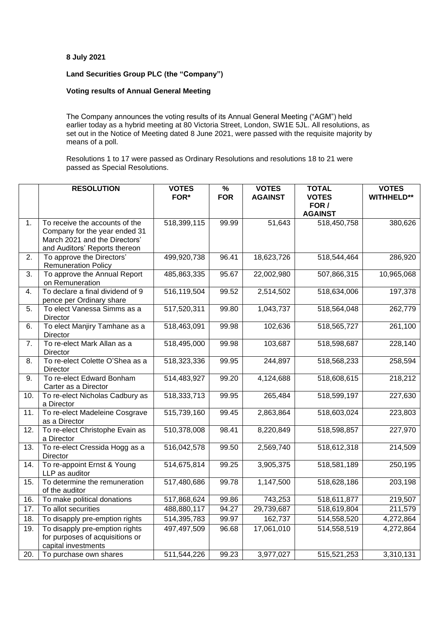## **8 July 2021**

## **Land Securities Group PLC (the "Company")**

## **Voting results of Annual General Meeting**

The Company announces the voting results of its Annual General Meeting ("AGM") held earlier today as a hybrid meeting at 80 Victoria Street, London, SW1E 5JL. All resolutions, as set out in the Notice of Meeting dated 8 June 2021, were passed with the requisite majority by means of a poll.

Resolutions 1 to 17 were passed as Ordinary Resolutions and resolutions 18 to 21 were passed as Special Resolutions.

|                | <b>RESOLUTION</b>                                              | <b>VOTES</b> | $\frac{9}{6}$ | <b>VOTES</b>       | <b>TOTAL</b>          | <b>VOTES</b>      |
|----------------|----------------------------------------------------------------|--------------|---------------|--------------------|-----------------------|-------------------|
|                |                                                                | FOR*         | <b>FOR</b>    | <b>AGAINST</b>     | <b>VOTES</b><br>FOR / | <b>WITHHELD**</b> |
|                |                                                                |              |               |                    | <b>AGAINST</b>        |                   |
| 1 <sub>1</sub> | To receive the accounts of the                                 | 518,399,115  | 99.99         | $\frac{1}{51,643}$ | 518,450,758           | 380,626           |
|                | Company for the year ended 31<br>March 2021 and the Directors' |              |               |                    |                       |                   |
|                | and Auditors' Reports thereon                                  |              |               |                    |                       |                   |
| 2.             | To approve the Directors'                                      | 499,920,738  | 96.41         | 18,623,726         | 518,544,464           | 286,920           |
|                | <b>Remuneration Policy</b>                                     |              |               |                    |                       |                   |
| 3.             | To approve the Annual Report<br>on Remuneration                | 485,863,335  | 95.67         | 22,002,980         | 507,866,315           | 10,965,068        |
| 4.             | To declare a final dividend of 9                               | 516,119,504  | 99.52         | 2,514,502          | 518,634,006           | 197,378           |
|                | pence per Ordinary share                                       |              |               |                    |                       |                   |
| 5.             | To elect Vanessa Simms as a<br>Director                        | 517,520,311  | 99.80         | 1,043,737          | 518,564,048           | 262,779           |
| 6.             | To elect Manjiry Tamhane as a                                  | 518,463,091  | 99.98         | 102,636            | 518,565,727           | 261,100           |
|                | Director                                                       |              |               |                    |                       |                   |
| 7.             | To re-elect Mark Allan as a<br>Director                        | 518,495,000  | 99.98         | 103,687            | 518,598,687           | 228,140           |
| 8.             | To re-elect Colette O'Shea as a                                | 518,323,336  | 99.95         | 244,897            | 518,568,233           | 258,594           |
| 9.             | Director<br>To re-elect Edward Bonham                          | 514,483,927  | 99.20         | 4,124,688          | 518,608,615           | 218,212           |
|                | Carter as a Director                                           |              |               |                    |                       |                   |
| 10.            | To re-elect Nicholas Cadbury as                                | 518,333,713  | 99.95         | 265,484            | 518,599,197           | 227,630           |
|                | a Director                                                     |              |               |                    |                       |                   |
| 11.            | To re-elect Madeleine Cosgrave<br>as a Director                | 515,739,160  | 99.45         | 2,863,864          | 518,603,024           | 223,803           |
| 12.            | To re-elect Christophe Evain as                                | 510,378,008  | 98.41         | 8,220,849          | 518,598,857           | 227,970           |
| 13.            | a Director<br>To re-elect Cressida Hogg as a                   | 516,042,578  | 99.50         |                    |                       |                   |
|                | Director                                                       |              |               | 2,569,740          | 518,612,318           | 214,509           |
| 14.            | To re-appoint Ernst & Young                                    | 514,675,814  | 99.25         | 3,905,375          | 518,581,189           | 250,195           |
|                | LLP as auditor                                                 |              |               |                    |                       |                   |
| 15.            | To determine the remuneration<br>of the auditor                | 517,480,686  | 99.78         | 1,147,500          | 518,628,186           | 203,198           |
| 16.            | To make political donations                                    | 517,868,624  | 99.86         | 743,253            | 518,611,877           | 219,507           |
| 17.            | To allot securities                                            | 488,880,117  | 94.27         | 29,739,687         | 518,619,804           | 211,579           |
| 18.            | To disapply pre-emption rights                                 | 514,395,783  | 99.97         | 162,737            | 514,558,520           | 4,272,864         |
| 19.            | To disapply pre-emption rights                                 | 497,497,509  | 96.68         | 17,061,010         | 514,558,519           | 4,272,864         |
|                | for purposes of acquisitions or                                |              |               |                    |                       |                   |
|                | capital investments                                            |              |               |                    |                       |                   |
| 20.            | To purchase own shares                                         | 511,544,226  | 99.23         | 3,977,027          | 515,521,253           | 3,310,131         |